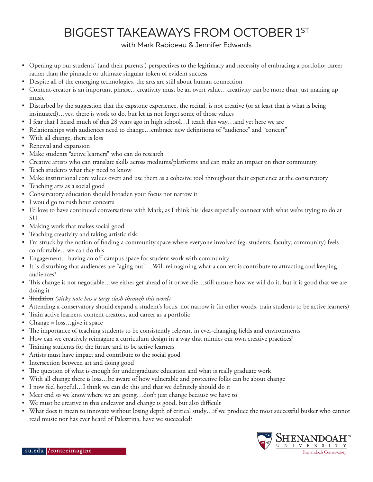## BIGGEST TAKEAWAYS FROM OCTOBER 1ST

## with Mark Rabideau & Jennifer Edwards

- Opening up our students' (and their parents') perspectives to the legitimacy and necessity of embracing a portfolio; career rather than the pinnacle or ultimate singular token of evident success
- Despite all of the emerging technologies, the arts are still about human connection
- Content-creator is an important phrase…creativity must be an overt value…creativity can be more than just making up music
- Disturbed by the suggestion that the capstone experience, the recital, is not creative (or at least that is what is being insinuated)…yes, there is work to do, but let us not forget some of those values
- I fear that I heard much of this 28 years ago in high school…I teach this way…and yet here we are
- Relationships with audiences need to change…embrace new definitions of "audience" and "concert"
- With all change, there is loss
- Renewal and expansion
- Make students "active learners" who can do research
- Creative artists who can translate skills across mediums/platforms and can make an impact on their community
- Teach students what they need to know
- Make institutional core values overt and use them as a cohesive tool throughout their experience at the conservatory
- Teaching arts as a social good
- Conservatory education should broaden your focus not narrow it
- I would go to rush hour concerts
- I'd love to have continued conversations with Mark, as I think his ideas especially connect with what we're trying to do at SU
- Making work that makes social good
- Teaching creativity and taking artistic risk
- I'm struck by the notion of finding a community space where everyone involved (eg. students, faculty, community) feels comfortable…we can do this
- Engagement...having an off-campus space for student work with community
- It is disturbing that audiences are "aging out"…Will reimagining what a concert is contribute to attracting and keeping audiences?
- This change is not negotiable…we either get ahead of it or we die…still unsure how we will do it, but it is good that we are doing it
- Tradition *(sticky note has a large slash through this word)*
- Attending a conservatory should expand a student's focus, not narrow it (in other words, train students to be active learners)
- Train active learners, content creators, and career as a portfolio
- Change = loss...give it space
- The importance of teaching students to be consistently relevant in ever-changing fields and environments
- How can we creatively reimagine a curriculum design in a way that mimics our own creative practices?
- Training students for the future and to be active learners
- Artists must have impact and contribute to the social good
- Intersection between art and doing good
- The question of what is enough for undergraduate education and what is really graduate work
- With all change there is loss...be aware of how vulnerable and protective folks can be about change
- I now feel hopeful...I think we can do this and that we definitely should do it
- Meet end so we know where we are going...don't just change because we have to
- We must be creative in this endeavor and change is good, but also difficult
- What does it mean to innovate without losing depth of critical study…if we produce the most successful busker who cannot read music nor has ever heard of Palestrina, have we succeeded?